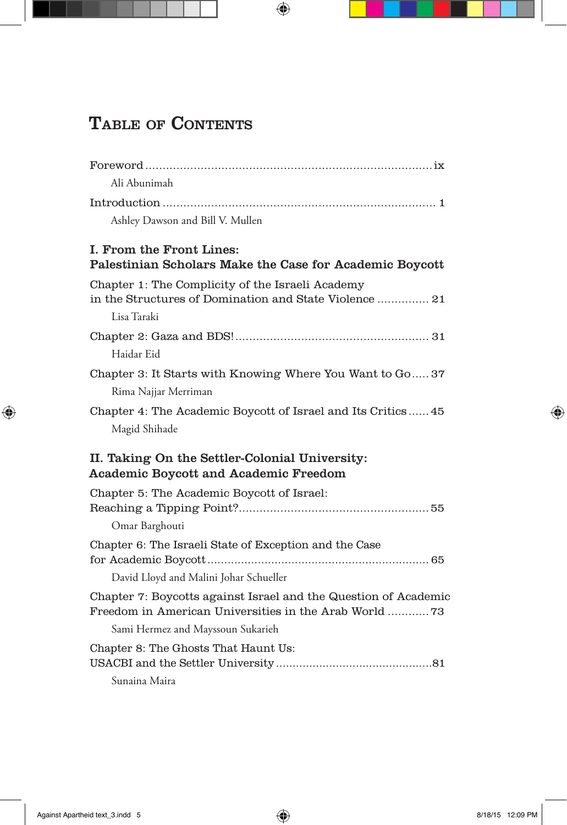## TABLE OF CONTENTS

| Ali Abunimah                                                                                                              |
|---------------------------------------------------------------------------------------------------------------------------|
|                                                                                                                           |
| Ashley Dawson and Bill V. Mullen                                                                                          |
| I. From the Front Lines:<br>Palestinian Scholars Make the Case for Academic Boycott                                       |
| Chapter 1: The Complicity of the Israeli Academy<br>in the Structures of Domination and State Violence  21<br>Lisa Taraki |
| Haidar Eid                                                                                                                |
| Chapter 3: It Starts with Knowing Where You Want to Go 37<br>Rima Najjar Merriman                                         |
| Chapter 4: The Academic Boycott of Israel and Its Critics 45<br>Magid Shihade                                             |
| II. Taking On the Settler-Colonial University:<br><b>Academic Boycott and Academic Freedom</b>                            |
| Chapter 5: The Academic Boycott of Israel:<br>Omar Barghouti                                                              |
| Chapter 6: The Israeli State of Exception and the Case<br>David Lloyd and Malini Johar Schueller                          |
| Chapter 7: Boycotts against Israel and the Question of Academic<br>Freedom in American Universities in the Arab World 73  |
| Sami Hermez and Mayssoun Sukarieh                                                                                         |
| Chapter 8: The Ghosts That Haunt Us:                                                                                      |
| Sunaina Maira                                                                                                             |

 $\bigoplus$ 

 $\bigoplus$ 

 $\bigoplus$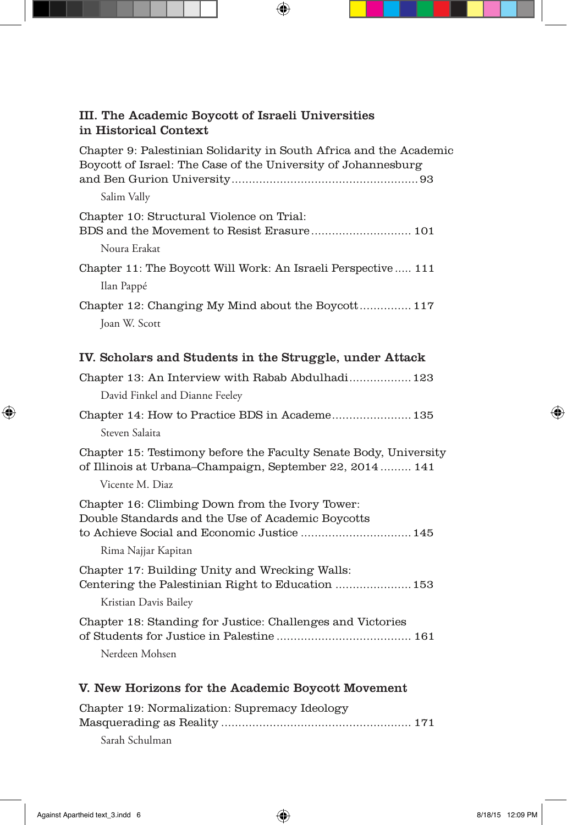|  |                       |  |  | III. The Academic Boycott of Israeli Universities |  |
|--|-----------------------|--|--|---------------------------------------------------|--|
|  | in Historical Context |  |  |                                                   |  |

 $\bigoplus$ 

| Chapter 9: Palestinian Solidarity in South Africa and the Academic<br>Boycott of Israel: The Case of the University of Johannesburg                                        |
|----------------------------------------------------------------------------------------------------------------------------------------------------------------------------|
| Salim Vally                                                                                                                                                                |
| Chapter 10: Structural Violence on Trial:<br>Noura Erakat                                                                                                                  |
| Chapter 11: The Boycott Will Work: An Israeli Perspective  111<br>Ilan Pappé                                                                                               |
| Chapter 12: Changing My Mind about the Boycott 117<br>Joan W. Scott                                                                                                        |
| IV. Scholars and Students in the Struggle, under Attack                                                                                                                    |
| Chapter 13: An Interview with Rabab Abdulhadi 123<br>David Finkel and Dianne Feeley                                                                                        |
| Chapter 14: How to Practice BDS in Academe 135<br>Steven Salaita                                                                                                           |
| Chapter 15: Testimony before the Faculty Senate Body, University<br>of Illinois at Urbana-Champaign, September 22, 2014 141<br>Vicente M. Diaz                             |
| Chapter 16: Climbing Down from the Ivory Tower:<br>Double Standards and the Use of Academic Boycotts<br>to Achieve Social and Economic Justice  145<br>Rima Najjar Kapitan |
| Chapter 17: Building Unity and Wrecking Walls:<br>Centering the Palestinian Right to Education  153                                                                        |
| Kristian Davis Bailey                                                                                                                                                      |
| Chapter 18: Standing for Justice: Challenges and Victories                                                                                                                 |
| Nerdeen Mohsen                                                                                                                                                             |
| V. New Horizons for the Academic Boycott Movement                                                                                                                          |

Chapter 19: Normalization: Supremacy Ideology Masquerading as Reality ....................................................... 171 Sarah Schulman

 $\bigoplus$ 

 $\bigoplus$